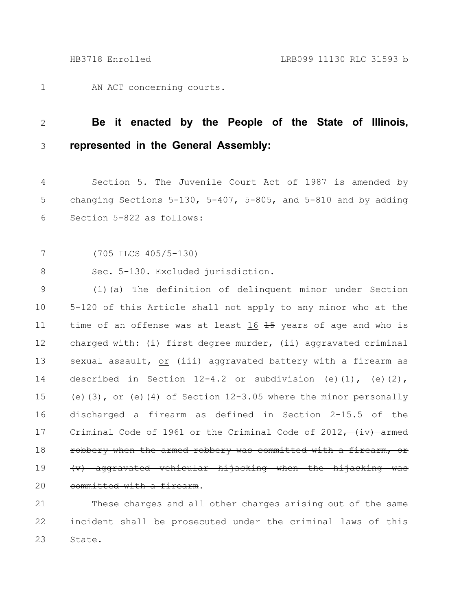AN ACT concerning courts. 1

## **Be it enacted by the People of the State of Illinois, represented in the General Assembly:** 2 3

Section 5. The Juvenile Court Act of 1987 is amended by changing Sections  $5-130$ ,  $5-407$ ,  $5-805$ , and  $5-810$  and by adding Section 5-822 as follows: 4 5 6

(705 ILCS 405/5-130) 7

Sec. 5-130. Excluded jurisdiction. 8

(1)(a) The definition of delinquent minor under Section 5-120 of this Article shall not apply to any minor who at the time of an offense was at least 16 45 years of age and who is charged with: (i) first degree murder, (ii) aggravated criminal sexual assault, or (iii) aggravated battery with a firearm as described in Section  $12-4.2$  or subdivision (e)(1), (e)(2), (e)(3), or (e)(4) of Section  $12-3.05$  where the minor personally discharged a firearm as defined in Section 2-15.5 of the Criminal Code of 1961 or the Criminal Code of 2012 $^-$  (iv) armed robbery when the armed robbery was committed with (v) aggravated vehicular hijacking when the hijacking was committed with a firearm. 9 10 11 12 13 14 15 16 17 18 19 20

These charges and all other charges arising out of the same incident shall be prosecuted under the criminal laws of this State. 21 22 23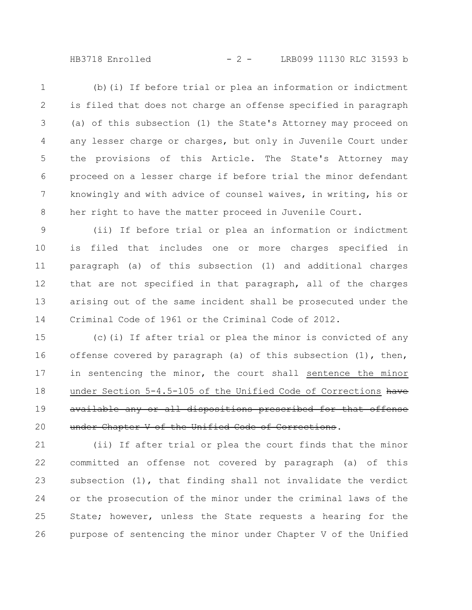HB3718 Enrolled - 2 - LRB099 11130 RLC 31593 b

(b)(i) If before trial or plea an information or indictment is filed that does not charge an offense specified in paragraph (a) of this subsection (1) the State's Attorney may proceed on any lesser charge or charges, but only in Juvenile Court under the provisions of this Article. The State's Attorney may proceed on a lesser charge if before trial the minor defendant knowingly and with advice of counsel waives, in writing, his or her right to have the matter proceed in Juvenile Court. 1 2 3 4 5 6 7 8

(ii) If before trial or plea an information or indictment is filed that includes one or more charges specified in paragraph (a) of this subsection (1) and additional charges that are not specified in that paragraph, all of the charges arising out of the same incident shall be prosecuted under the Criminal Code of 1961 or the Criminal Code of 2012. 9 10 11 12 13 14

(c)(i) If after trial or plea the minor is convicted of any offense covered by paragraph (a) of this subsection (1), then, in sentencing the minor, the court shall sentence the minor under Section 5-4.5-105 of the Unified Code of Corrections have available any or all dispositions prescribed for that offense under Chapter V of the Unified Code of Corrections. 15 16 17 18 19 20

(ii) If after trial or plea the court finds that the minor committed an offense not covered by paragraph (a) of this subsection (1), that finding shall not invalidate the verdict or the prosecution of the minor under the criminal laws of the State; however, unless the State requests a hearing for the purpose of sentencing the minor under Chapter V of the Unified 21 22 23 24 25 26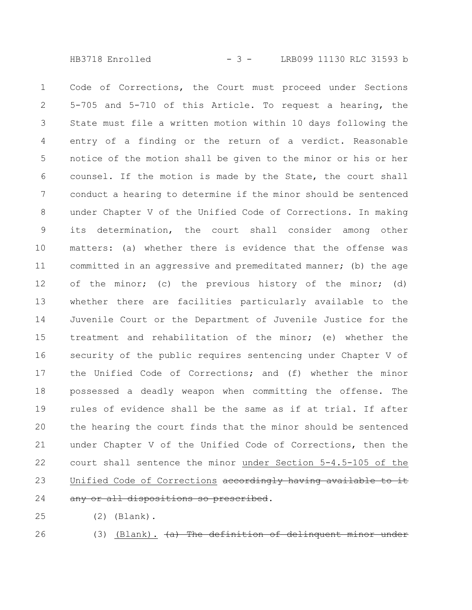HB3718 Enrolled - 3 - LRB099 11130 RLC 31593 b

Code of Corrections, the Court must proceed under Sections 5-705 and 5-710 of this Article. To request a hearing, the State must file a written motion within 10 days following the entry of a finding or the return of a verdict. Reasonable notice of the motion shall be given to the minor or his or her counsel. If the motion is made by the State, the court shall conduct a hearing to determine if the minor should be sentenced under Chapter V of the Unified Code of Corrections. In making its determination, the court shall consider among other matters: (a) whether there is evidence that the offense was committed in an aggressive and premeditated manner; (b) the age of the minor; (c) the previous history of the minor; (d) whether there are facilities particularly available to the Juvenile Court or the Department of Juvenile Justice for the treatment and rehabilitation of the minor; (e) whether the security of the public requires sentencing under Chapter V of the Unified Code of Corrections; and (f) whether the minor possessed a deadly weapon when committing the offense. The rules of evidence shall be the same as if at trial. If after the hearing the court finds that the minor should be sentenced under Chapter V of the Unified Code of Corrections, then the court shall sentence the minor under Section 5-4.5-105 of the Unified Code of Corrections accordingly having availabl any or all dispositions so prescribed. 1 2 3 4 5 6 7 8 9 10 11 12 13 14 15 16 17 18 19 20 21 22 23 24

- (2) (Blank). 25
- 26
- (3) (Blank).  $(a)$  The definition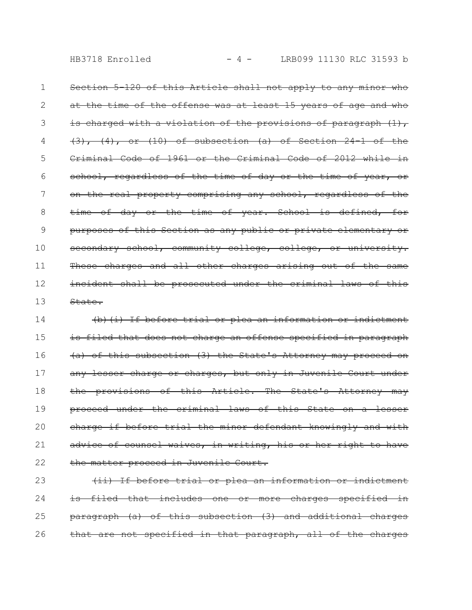HB3718 Enrolled  $- 4 -$  LRB099 11130 RLC 31593 b

Section 5-120 of this Article shall not apply to any minor who at the time of the offense was at least 15 years of age and who is charged with a violation of the provisions of paragraph  $(1)$ ,  $(3)$ ,  $(4)$ , or  $(10)$  of subsection  $(a)$  of Section 24-1 Criminal Code of 1961 or the Criminal Code of 2012 while in school, regardless of the time of day or the time of year, or on the real property comprising any school, regardless of the time of day or the time of year. School is defined, for purposes of this Section as any public or private elementary or secondary school, community college, college, or university. These charges and all other charges arising out of the incident shall be prosecuted under the criminal laws of this State. 1 2 3 4 5 6 7 8 9 10 11 12 13

(b)(i) If before trial or plea an information or indictment is filed that does not charge an offense specified in paragraph (a) of this subsection (3) the State's Attorney may proceed on any lesser charge or charges, but only in Juvenile Court under the provisions of this Article. The State's Attorney may proceed under the criminal laws of this State on a lesser charge if before trial the minor defendant knowingly and with advice of counsel waives, in writing, his or her right to have the matter proceed in Juvenile Court. 14 15 16 17 18 19 20 21 22

(ii) If before trial or plea an information or indictment is filed that includes one or more charges specified paragraph (a) of this subsection (3) and additional charges that are not specified in that paragraph, all of the charges 23 24 25 26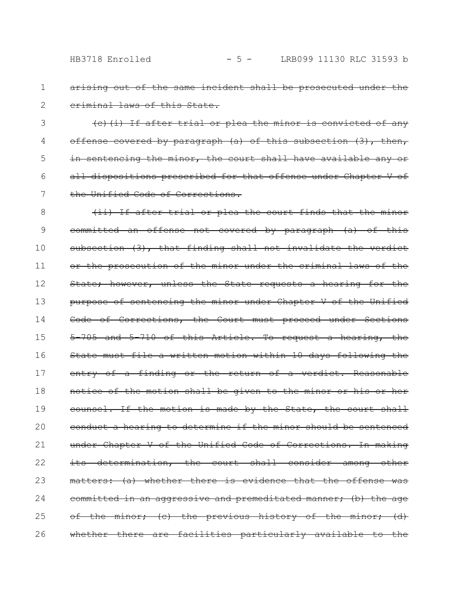arising out of the same incident shall be prosecuted under the criminal laws of this State.

(c)(i) If after trial or plea the minor is convicted of any offense covered by paragraph (a) of this subsection (3), then, in sentencing the minor, the court shall have available any or all dispositions prescribed for that offense under Chapter V of the Unified Code of Corrections. 3 4 5 6 7

(ii) If after trial or plea the court finds that the minor committed an offense not covered by paragraph (a) of this subsection (3), that finding shall not invalidate the verdict or the prosecution of the minor under the criminal laws of the State; however, unless the State requests a hearing for the purpose of sentencing the minor under Chapter V of the Unified Code of Corrections, the Court must proceed under Sections 5-705 and 5-710 of this Article. To request a hearing, the State must file a written motion within 10 days following the entry of a finding or the return of a verdict. Reasonable notice of the motion shall be given to the minor or his or her counsel. If the motion is made by the State, the court shall conduct a hearing to determine if the minor should be sentenced under Chapter V of the Unified Code of Corrections. In making its determination, the court shall consider among other matters: (a) whether there is evidence that the offense committed in an aggressive and premeditated manner; (b) the age of the minor; (c) the previous history of the minor; (d) whether there are facilities particularly available to the 8 9 10 11 12 13 14 15 16 17 18 19 20 21 22 23 24 25 26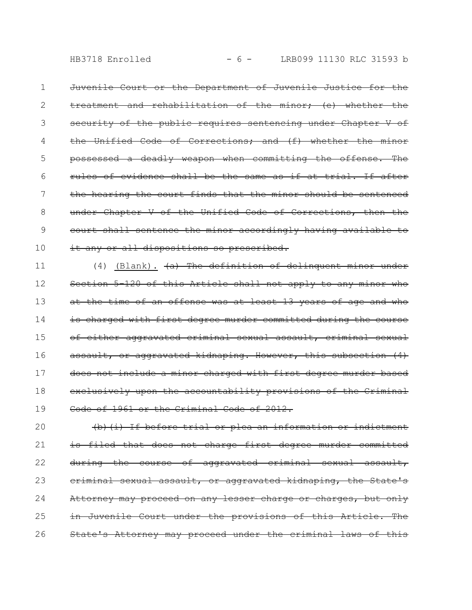HB3718 Enrolled  $- 6 -$  LRB099 11130 RLC 31593 b

Juvenile Court or the Department of Juvenile Justice for the treatment and rehabilitation of the minor; (e) whether the security of the public requires sentencing under Chapter V of the Unified Code of Corrections; and (f) whether the possessed a deadly weapon when committing the offense. The rules of evidence shall be the same as if at trial. If after the hearing the court finds that the minor should be sentenced under Chapter V of the Unified Code of Corrections, then the court shall sentence the minor accordingly having available to it any or all dispositions so prescribed. 1 2 3 4 5 6 7 8 9 10

 $(4)$  (Blank).  $\overline{a}$  The definition of delinquent minor under Section 5-120 of this Article shall not apply to any minor who at the time of an offense was at least 13 years of age and who is charged with first degree murder committed during the course of either aggravated criminal sexual assault, criminal sexual assault, or aggravated kidnaping. However, this subsection (4) does not include a minor charged with first degree murder based exclusively upon the accountability provisions of the Code of 1961 or the Criminal Code of 2012. 11 12 13 14 15 16 17 18 19

(b)(i) If before trial or plea an information or indictment is filed that does not charge first degree murder committed during the course of aggravated criminal sexual assault, criminal sexual assault, or aggravated kidnaping, the State's Attorney may proceed on any lesser charge or charges, but only in Juvenile Court under the provisions of this Article. The State's Attorney may proceed under the criminal laws 20 21 22 23 24 25 26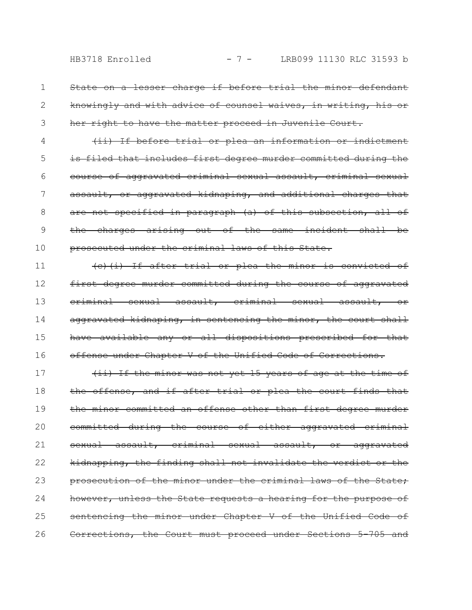State on a lesser charge if before trial the minor defendant knowingly and with advice of counsel waives, in writing, his or her right to have the matter proceed in Juvenile Court. 1 2 3

(ii) If before trial or plea an information or indictment is filed that includes first degree murder committed during the course of aggravated criminal sexual assault, criminal sexual assault, or aggravated kidnaping, and additional charges that are not specified in paragraph (a) of this subsection, all of the charges arising out of the same incident shall be prosecuted under the criminal laws of this State. 4 5 6 7 8 9 10

(c)(i) If after trial or plea the minor is convicted of first degree murder committed during the course of aggravated eriminal sexual assault, eriminal sexual assault, aggravated kidnaping, in sentencing the minor, the court shall have available any or all dispositions prescribed for that offense under Chapter V of the Unified Code of Corrections. 11 12 13 14 15 16

(ii) If the minor was not yet 15 years of age at the time of the offense, and if after trial or plea the court finds that the minor committed an offense other than first degree murder committed during the course of either aggravated criminal sexual assault, criminal sexual assault, or aggravated kidnapping, the finding shall not invalidate the verdict or the prosecution of the minor under the criminal laws of the State, however, unless the State requests a hearing for the purpose of sentencing the minor under Chapter V of the Unified Code of Corrections, the Court must proceed under Sections 5-705 and 17 18 19 20 21 22 23 24 25 26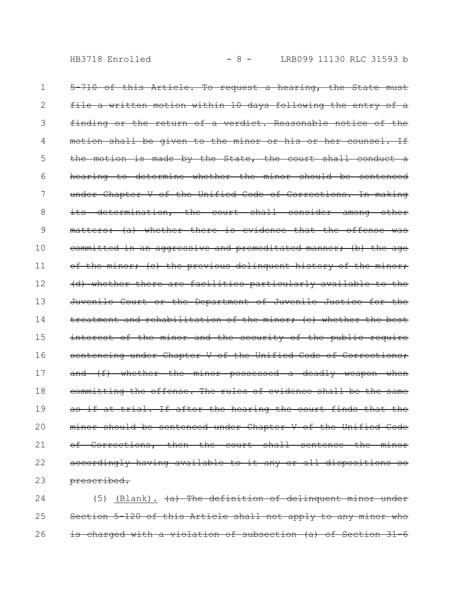5-710 of this Article. To request a hearing, the State must file a written motion within 10 days following the entry of a finding or the return of a verdict. Reasonable notice of motion shall be given to the minor or his or her counsel. the motion is made by the State, the court shall conduct a hearing to determine whether the minor should be sentenced under Chapter V of the Unified Code of Corrections. In making its determination, the court shall consider among other matters: (a) whether there is evidence that the offense was committed in an aggressive and premeditated manner; (b) the age of the minor; (c) the previous delinquent history of the minor; (d) whether there are facilities particularly available to the Juvenile Court or the Department of Juvenile Justice for treatment and rehabilitation of the minor; (e) whether the best interest of the minor and the security of the public require sentencing under Chapter V of the Unified Code of Corrections; and (f) whether the minor possessed a deadly weapon when committing the offense. The rules of evidence shall be the as if at trial. If after the hearing the court finds that the minor should be sentenced under Chapter V of the Unified Code of Corrections, then the court shall sentence the accordingly having available to it any or all dispositions so prescribed. 1 2 3 4 5 6 7 8 9 10 11 12 13 14 15 16 17 18 19 20 21 22 23

(5) (Blank).  $(a)$  The definition of delinquent minor under Section 5-120 of this Article shall not apply to any minor who is charged with a violation of subsection (a) of Section 24 25 26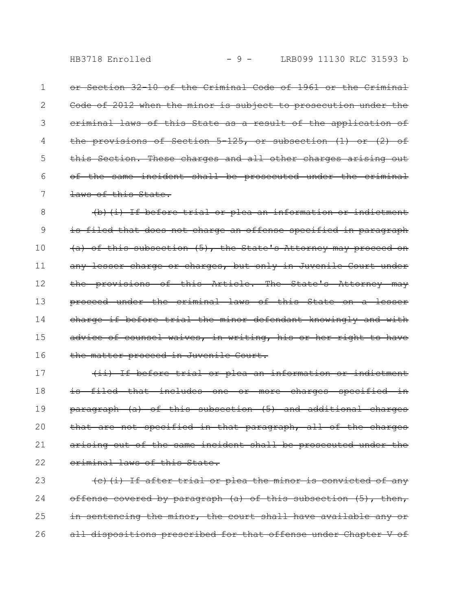or Section 32-10 of the Criminal Code of 1961 or the Criminal Code of 2012 when the minor is subject to prosecution under the criminal laws of this State as a result of the application of the provisions of Section 5-125, or subsection (1) or (2) of this Section. These charges and all other charges arising out of the same incident shall be prosecuted under the criminal laws of this State. 1 2 3 4 5 6 7

(b)(i) If before trial or plea an information or indictment is filed that does not charge an offense specified in paragraph (a) of this subsection (5), the State's Attorney may proceed on any lesser charge or charges, but only in Juvenile Court under the provisions of this Article. The State's Attorney may proceed under the criminal laws of this State on a less charge if before trial the minor defendant knowingly and with advice of counsel waives, in writing, his or her right to have the matter proceed in Juvenile Court. 8 9 10 11 12 13 14 15 16

(ii) If before trial or plea an information or indictment is filed that includes one or more charges specified in paragraph (a) of this subsection (5) and additional charges that are not specified in that paragraph, all of the charges arising out of the same incident shall be prosecuted under the criminal laws of this State. 17 18 19 20 21 22

(c)(i) If after trial or plea the minor is convicted of any offense covered by paragraph (a) of this subsection (5), then, in sentencing the minor, the court shall have available any or all dispositions prescribed for that offense under Chapter V of 23 24 25 26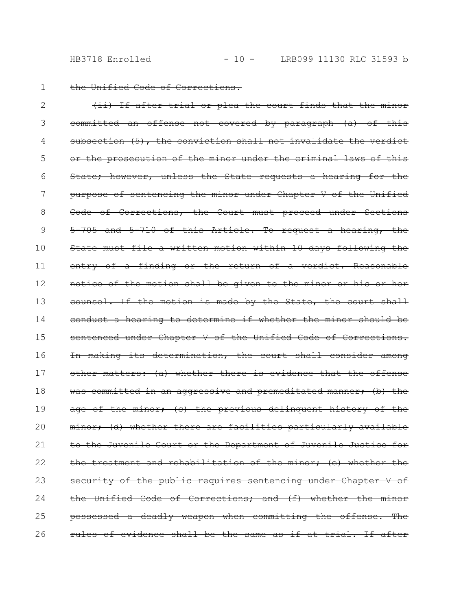the Unified Code of Corrections.

(ii) If after trial or plea the court finds that the minor committed an offense not covered by paragraph (a) of this subsection (5), the conviction shall not invalidate or the prosecution of the minor under the criminal laws of this State; however, unless the State requests a hearing for the purpose of sentencing the minor under Chapter V of the Unified Code of Corrections, the Court must proceed under Sections 5-705 and 5-710 of this Article. To request a hearing, the State must file a written motion within 10 days following the entry of a finding or the return of a verdict. Reasonable notice of the motion shall be given to the minor or his or counsel. If the motion is made by the State, the court shall conduct a hearing to determine if whether the minor should be sentenced under Chapter V of the Unified Code of Corrections. In making its determination, the court shall consider among other matters: (a) whether there is evidence that the offense was committed in an aggressive and premeditated manner; (b) the age of the minor; (c) the previous delinquent history of the minor; (d) whether there are facilities particularly available to the Juvenile Court or the Department of Juvenile Justice for the treatment and rehabilitation of the minor; (e) whether the security of the public requires sentencing under Chapter V of the Unified Code of Corrections; and (f) whether the minor possessed a deadly weapon when committing the offense. The rules of evidence shall be the same as if at trial. If after 2 3 4 5 6 7 8 9 10 11 12 13 14 15 16 17 18 19 20 21 22 23 24 25 26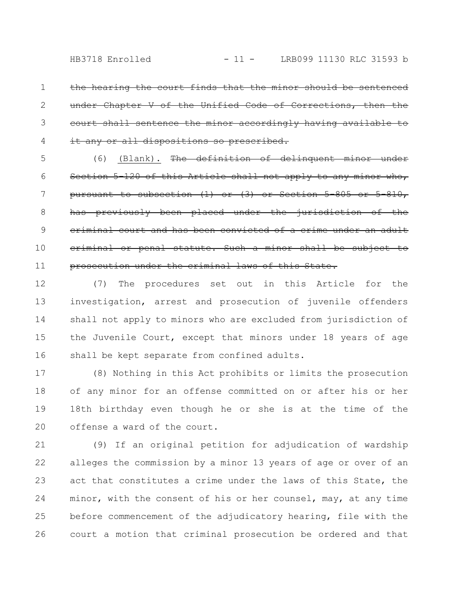hearing the court finds that the minor should Chapter V of the Unified Code of Corrections, court shall sentence the minor accordingly having any or all dispositions so prescribed. 1 2 3 4

(6) (Blank). The definition of delinquent minor under Section 5-120 of this Article shall not apply to any minor pursuant to subsection  $(1)$  or  $(3)$  or Section 5-805 previously been placed under the jurisdiction eriminal court and has been convicted of a crime under eriminal or penal statute. Such a minor shall be prosecution under the criminal laws of this State. 5 6 7 8 9 10 11

(7) The procedures set out in this Article for the investigation, arrest and prosecution of juvenile offenders shall not apply to minors who are excluded from jurisdiction of the Juvenile Court, except that minors under 18 years of age shall be kept separate from confined adults. 12 13 14 15 16

(8) Nothing in this Act prohibits or limits the prosecution of any minor for an offense committed on or after his or her 18th birthday even though he or she is at the time of the offense a ward of the court. 17 18 19 20

(9) If an original petition for adjudication of wardship alleges the commission by a minor 13 years of age or over of an act that constitutes a crime under the laws of this State, the minor, with the consent of his or her counsel, may, at any time before commencement of the adjudicatory hearing, file with the court a motion that criminal prosecution be ordered and that 21 22 23 24 25 26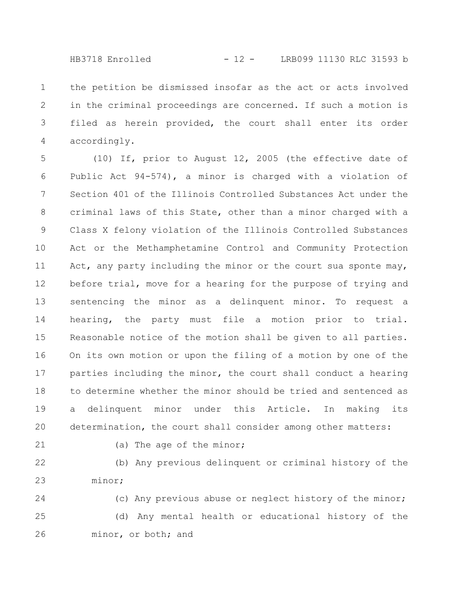the petition be dismissed insofar as the act or acts involved in the criminal proceedings are concerned. If such a motion is filed as herein provided, the court shall enter its order accordingly. 1 2 3 4

(10) If, prior to August 12, 2005 (the effective date of Public Act 94-574), a minor is charged with a violation of Section 401 of the Illinois Controlled Substances Act under the criminal laws of this State, other than a minor charged with a Class X felony violation of the Illinois Controlled Substances Act or the Methamphetamine Control and Community Protection Act, any party including the minor or the court sua sponte may, before trial, move for a hearing for the purpose of trying and sentencing the minor as a delinquent minor. To request a hearing, the party must file a motion prior to trial. Reasonable notice of the motion shall be given to all parties. On its own motion or upon the filing of a motion by one of the parties including the minor, the court shall conduct a hearing to determine whether the minor should be tried and sentenced as a delinquent minor under this Article. In making its determination, the court shall consider among other matters: 5 6 7 8 9 10 11 12 13 14 15 16 17 18 19 20

21

(a) The age of the minor;

(b) Any previous delinquent or criminal history of the minor; 22 23

(c) Any previous abuse or neglect history of the minor; (d) Any mental health or educational history of the minor, or both; and 24 25 26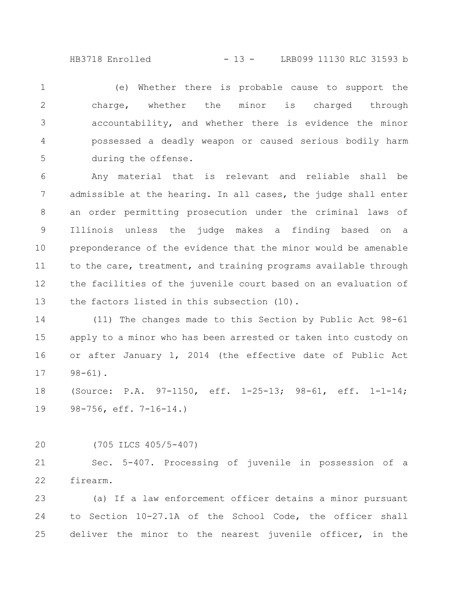HB3718 Enrolled - 13 - LRB099 11130 RLC 31593 b

(e) Whether there is probable cause to support the charge, whether the minor is charged through accountability, and whether there is evidence the minor possessed a deadly weapon or caused serious bodily harm during the offense. 1 2 3 4 5

Any material that is relevant and reliable shall be admissible at the hearing. In all cases, the judge shall enter an order permitting prosecution under the criminal laws of Illinois unless the judge makes a finding based on a preponderance of the evidence that the minor would be amenable to the care, treatment, and training programs available through the facilities of the juvenile court based on an evaluation of the factors listed in this subsection (10). 6 7 8 9 10 11 12 13

(11) The changes made to this Section by Public Act 98-61 apply to a minor who has been arrested or taken into custody on or after January 1, 2014 (the effective date of Public Act  $98 - 61$ . 14 15 16 17

(Source: P.A. 97-1150, eff. 1-25-13; 98-61, eff. 1-1-14; 98-756, eff. 7-16-14.) 18 19

(705 ILCS 405/5-407) 20

Sec. 5-407. Processing of juvenile in possession of a firearm. 21 22

(a) If a law enforcement officer detains a minor pursuant to Section 10-27.1A of the School Code, the officer shall deliver the minor to the nearest juvenile officer, in the 23 24 25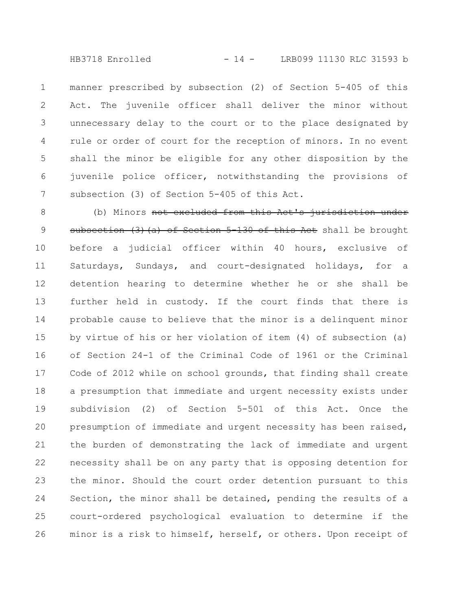HB3718 Enrolled - 14 - LRB099 11130 RLC 31593 b

manner prescribed by subsection (2) of Section 5-405 of this Act. The juvenile officer shall deliver the minor without unnecessary delay to the court or to the place designated by rule or order of court for the reception of minors. In no event shall the minor be eligible for any other disposition by the juvenile police officer, notwithstanding the provisions of subsection (3) of Section 5-405 of this Act. 1 2 3 4 5 6 7

(b) Minors not excluded from this Act's jurisdiction subsection (3)(a) of Section 5-130 of this Act shall be brought before a judicial officer within 40 hours, exclusive of Saturdays, Sundays, and court-designated holidays, for a detention hearing to determine whether he or she shall be further held in custody. If the court finds that there is probable cause to believe that the minor is a delinquent minor by virtue of his or her violation of item (4) of subsection (a) of Section 24-1 of the Criminal Code of 1961 or the Criminal Code of 2012 while on school grounds, that finding shall create a presumption that immediate and urgent necessity exists under subdivision (2) of Section 5-501 of this Act. Once the presumption of immediate and urgent necessity has been raised, the burden of demonstrating the lack of immediate and urgent necessity shall be on any party that is opposing detention for the minor. Should the court order detention pursuant to this Section, the minor shall be detained, pending the results of a court-ordered psychological evaluation to determine if the minor is a risk to himself, herself, or others. Upon receipt of 8 9 10 11 12 13 14 15 16 17 18 19 20 21 22 23 24 25 26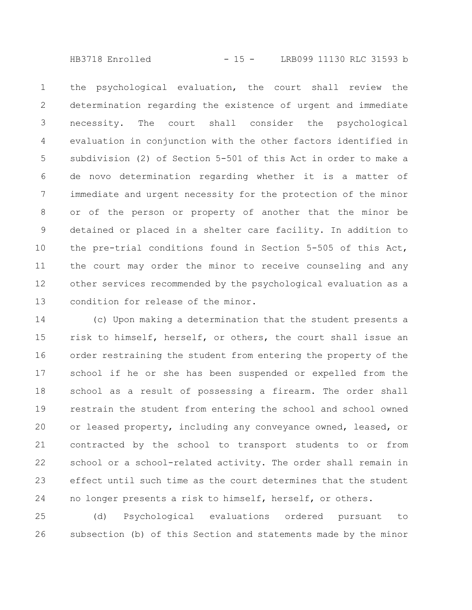HB3718 Enrolled - 15 - LRB099 11130 RLC 31593 b

the psychological evaluation, the court shall review the determination regarding the existence of urgent and immediate necessity. The court shall consider the psychological evaluation in conjunction with the other factors identified in subdivision (2) of Section 5-501 of this Act in order to make a de novo determination regarding whether it is a matter of immediate and urgent necessity for the protection of the minor or of the person or property of another that the minor be detained or placed in a shelter care facility. In addition to the pre-trial conditions found in Section 5-505 of this Act, the court may order the minor to receive counseling and any other services recommended by the psychological evaluation as a condition for release of the minor. 1 2 3 4 5 6 7 8 9 10 11 12 13

(c) Upon making a determination that the student presents a risk to himself, herself, or others, the court shall issue an order restraining the student from entering the property of the school if he or she has been suspended or expelled from the school as a result of possessing a firearm. The order shall restrain the student from entering the school and school owned or leased property, including any conveyance owned, leased, or contracted by the school to transport students to or from school or a school-related activity. The order shall remain in effect until such time as the court determines that the student no longer presents a risk to himself, herself, or others. 14 15 16 17 18 19 20 21 22 23 24

(d) Psychological evaluations ordered pursuant to subsection (b) of this Section and statements made by the minor 25 26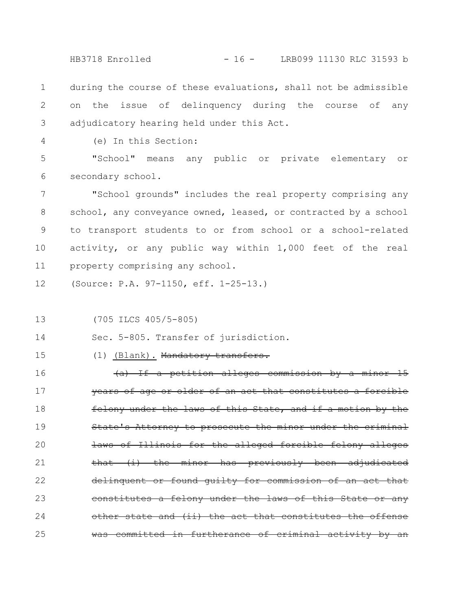HB3718 Enrolled - 16 - LRB099 11130 RLC 31593 b

during the course of these evaluations, shall not be admissible on the issue of delinquency during the course of any adjudicatory hearing held under this Act. 1 2 3

4

(e) In this Section:

"School" means any public or private elementary or secondary school. 5 6

"School grounds" includes the real property comprising any school, any conveyance owned, leased, or contracted by a school to transport students to or from school or a school-related activity, or any public way within 1,000 feet of the real property comprising any school. 7 8 9 10 11

(Source: P.A. 97-1150, eff. 1-25-13.) 12

(705 ILCS 405/5-805) 13

Sec. 5-805. Transfer of jurisdiction. 14

15

(1) (Blank). Mandatory transfers.

 $(a)$  If a petition alleges commission by a minor vears of age or older of an act that constitutes felony under the laws of this State, and if a motion by the State's Attorney to prosecute the minor under laws of Illinois for the alleged forcibl that (i) the minor has previously been adjudicated delinquent or found guilty for commission of constitutes a felony under the laws of this other state and  $(i)$  the act that constitutes committed in furtherance of criminal activity 16 17 18 19 20 21 22 23 24 25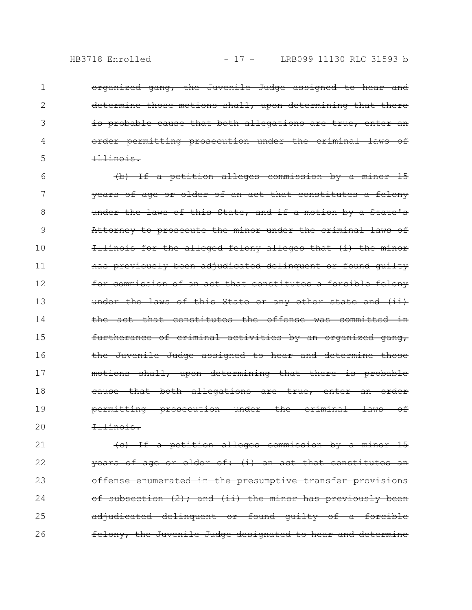2

3

4

5

organized gang, the Juvenile Judge assigned to hear and determine those motions shall, upon determining that there is probable cause that both allegations are true, order permitting prosecution under the Illinois.

(b) If a petition alleges commission by a minor 15 years of age or older of an act that constitutes a felony under the laws of this State, and if a motion by a State's Attorney to prosecute the minor under the criminal laws of Illinois for the alleged felony alleges that (i) the minor has previously been adjudicated delinquent or found guilty for commission of an act that constitutes a forcible felony under the laws of this State or any other state and the act that constitutes the offense was committed furtherance of criminal activities by an organized gang, the Juvenile Judge assigned to hear and determine those motions shall, upon determining that there is probable eause that both allegations are true, enter permitting prosecution under the criminal laws of Illinois. 6 7 8 9 10 11 12 13 14 15 16 17 18 19 20

(c) If a petition alleges commission by a minor 15  $\frac{1}{2}$  years of age or older of: (i) an act that constitutes offense enumerated in the presumptive transfer provisions of subsection (2); and (ii) the minor has previously been adjudicated delinquent or found quilty of a forcible felony, the Juvenile Judge designated to hear and determine 21 22 23 24 25 26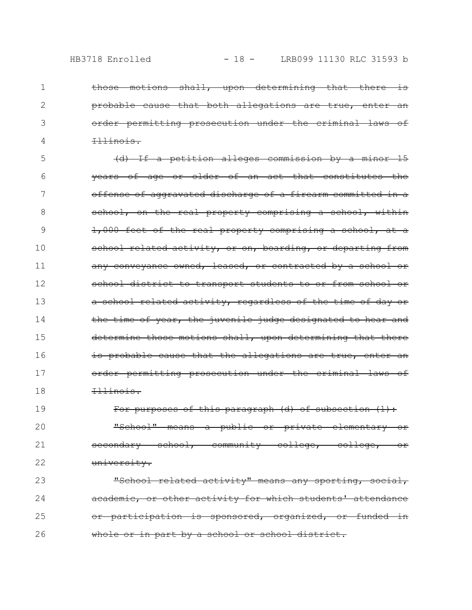2

3

4

those motions shall, upon determining that there is probable cause that both allegations are true, order permitting prosecution under the criminal laws of Illinois.

(d) If a petition alleges commission by a minor 15 years of age or older of an act that constitutes the offense of aggravated discharge of a firearm committed school, on the real property comprising a school, within 1,000 feet of the real property comprising a school, at a school related activity, or on, boarding, or departing from any conveyance owned, leased, or contracted by a school school district to transport students to or from school a school related activity, regardless of the time of day the time of year, the juvenile judge designated to hear and determine those motions shall, upon determining that there is probable cause that the allegations are true, order permitting prosecution under the criminal laws of Illinois. 5 6 7 8 9 10 11 12 13 14 15 16 17 18

For purposes of this paragraph (d) of subsection (1): "School" means a public or private elementary or secondary school, community college, college, or university. 19 20 21 22

"School related activity" means any sporting, academic, or other activity for which students' attendance or participation is sponsored, organized, or funded in whole or in part by a school or school district. 23 24 25 26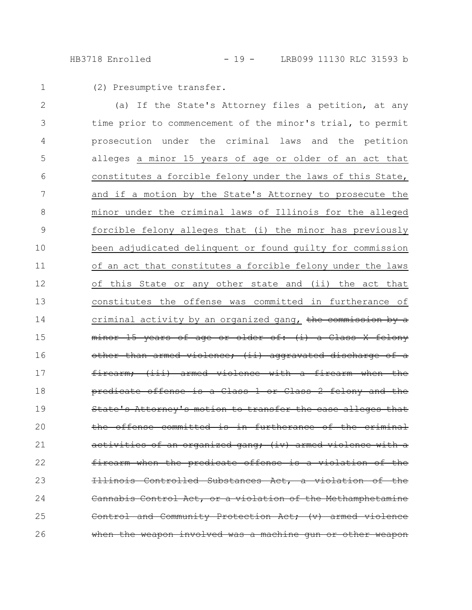HB3718 Enrolled - 19 - LRB099 11130 RLC 31593 b

1

(2) Presumptive transfer.

(a) If the State's Attorney files a petition, at any time prior to commencement of the minor's trial, to permit prosecution under the criminal laws and the petition alleges a minor 15 years of age or older of an act that constitutes a forcible felony under the laws of this State, and if a motion by the State's Attorney to prosecute the minor under the criminal laws of Illinois for the alleged forcible felony alleges that (i) the minor has previously been adjudicated delinquent or found guilty for commission of an act that constitutes a forcible felony under the laws of this State or any other state and (ii) the act that constitutes the offense was committed in furtherance of criminal activity by an organized gang, the commission by a minor 15 years of age or older of: (i) a Class armed violence; (ii) aggravat  $(iii)$  armed violence with a firearm predicate offense is a Class 1 or Class 2 felony and the orney's motion to transfer the case alleges offense committed is in furtherance of the <u>organized gang</u>; (iv) when the predicate offense Controlled Substances Act, Cannabis Control Act, or a violation of the Methamphetam and Community Protection Act: (v) armed weapon involved was a machine gun 2 3 4 5 6 7 8 9 10 11 12 13 14 15 16 17 18 19 20 21 22 23 24 25 26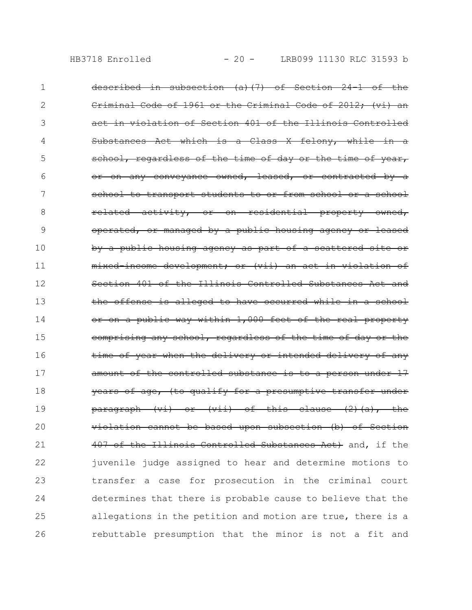| 1              | described in subsection (a)(7) of Section 24-1 of the                                                                                             |
|----------------|---------------------------------------------------------------------------------------------------------------------------------------------------|
| 2              | Criminal Code of 1961 or the Criminal Code of 2012; (vi) an                                                                                       |
| 3              | act in violation of Section 401 of the Illinois Controlled                                                                                        |
| 4              | Substances Act which is a Class X felony, while in a                                                                                              |
| 5              | school, regardless of the time of day or the time of year,                                                                                        |
| 6              | any conveyance owned, leased, or contracted by<br>$\rightarrow$<br><del>or on</del>                                                               |
| 7              | school to transport students to or from school or a school                                                                                        |
| 8              | <del>residential</del><br><del>related</del><br><del>activity,</del><br><del>owned.</del><br>$-\texttt{or}-$<br><del>property</del><br>$-\circ n$ |
| 9              | operated, or managed by a public housing agency or leased                                                                                         |
| 1 <sub>0</sub> | by a public housing agency as part of a scattered site or                                                                                         |
| 11             | mixed-income development; or (vii) an act in violation of                                                                                         |
| 12             | Section 401 of the Illinois Controlled Substances Act and                                                                                         |
| 13             | the offense is alleged to have occurred while in a school                                                                                         |
| 14             | or on a public way within 1,000 feet of the real property                                                                                         |
| 15             | comprising any school, regardless of the time of day or the                                                                                       |
| 16             | time of year when the delivery or intended delivery of any                                                                                        |
| 17             | amount of the controlled substance is to a person under 17                                                                                        |
| 18             | years of age, (to qualify for a presumptive transfer under                                                                                        |
| 19             | (vii) of this clause<br>$(2)$ $(a)$ $\overline{'}$<br><del>the</del><br><del>paragraph</del><br>$\leftarrow$<br>−O£                               |
| 20             | violation cannot be based upon subsection (b) of Section                                                                                          |
| 21             | 407 of the Illinois Controlled Substances Act) and, if the                                                                                        |
| 22             | juvenile judge assigned to hear and determine motions to                                                                                          |
| 23             | transfer a case for prosecution in the criminal court                                                                                             |
| 24             | determines that there is probable cause to believe that the                                                                                       |
| 25             | allegations in the petition and motion are true, there is a                                                                                       |
| 26             | rebuttable presumption that the minor is not a fit and                                                                                            |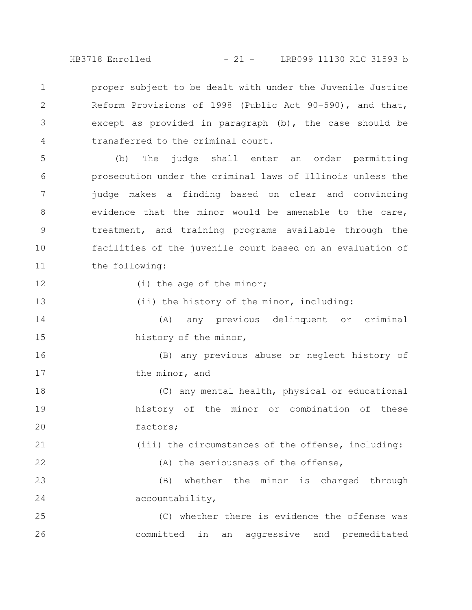HB3718 Enrolled - 21 - LRB099 11130 RLC 31593 b

proper subject to be dealt with under the Juvenile Justice Reform Provisions of 1998 (Public Act 90-590), and that, except as provided in paragraph (b), the case should be transferred to the criminal court. 1 2 3 4

(b) The judge shall enter an order permitting prosecution under the criminal laws of Illinois unless the judge makes a finding based on clear and convincing evidence that the minor would be amenable to the care, treatment, and training programs available through the facilities of the juvenile court based on an evaluation of the following: 5 6 7 8 9 10 11

12

13

21

22

(i) the age of the minor;

(ii) the history of the minor, including:

(A) any previous delinquent or criminal history of the minor, 14 15

(B) any previous abuse or neglect history of the minor, and 16 17

(C) any mental health, physical or educational history of the minor or combination of these factors; 18 19 20

(iii) the circumstances of the offense, including:

(A) the seriousness of the offense,

(B) whether the minor is charged through accountability, 23 24

(C) whether there is evidence the offense was committed in an aggressive and premeditated 25 26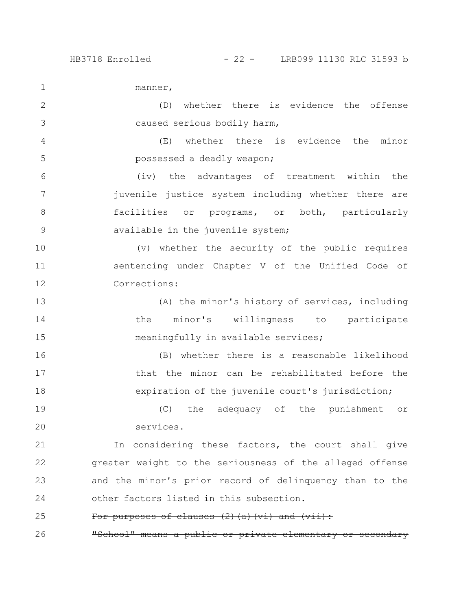manner,

(D) whether there is evidence the offense caused serious bodily harm, 2 3

(E) whether there is evidence the minor possessed a deadly weapon; 4 5

(iv) the advantages of treatment within the juvenile justice system including whether there are facilities or programs, or both, particularly available in the juvenile system; 6 7 8 9

(v) whether the security of the public requires sentencing under Chapter V of the Unified Code of Corrections: 10 11 12

(A) the minor's history of services, including the minor's willingness to participate meaningfully in available services; 13 14 15

(B) whether there is a reasonable likelihood that the minor can be rehabilitated before the expiration of the juvenile court's jurisdiction; 16 17 18

(C) the adequacy of the punishment or services. 19 20

In considering these factors, the court shall give greater weight to the seriousness of the alleged offense and the minor's prior record of delinquency than to the other factors listed in this subsection. 21 22 23 24

## For purposes of clauses (2)(a)(vi) and (vii): 25

"School" means a public or private elementary 26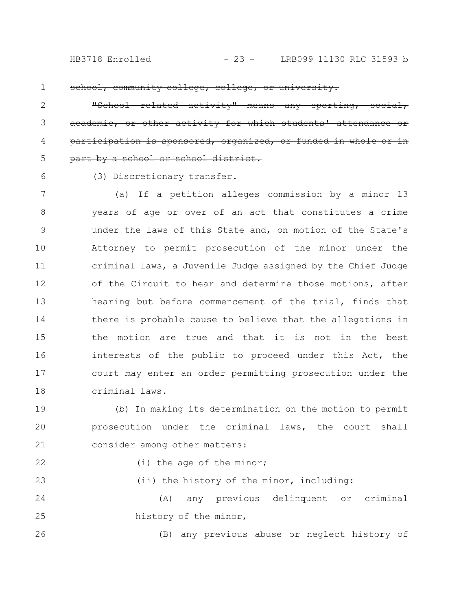school, community college, college, or university

related activity" means any sporting, or other activity for which sponsored, organized, part by a school or school district. 2 3 4 5

6

(3) Discretionary transfer.

(a) If a petition alleges commission by a minor 13 years of age or over of an act that constitutes a crime under the laws of this State and, on motion of the State's Attorney to permit prosecution of the minor under the criminal laws, a Juvenile Judge assigned by the Chief Judge of the Circuit to hear and determine those motions, after hearing but before commencement of the trial, finds that there is probable cause to believe that the allegations in the motion are true and that it is not in the best interests of the public to proceed under this Act, the court may enter an order permitting prosecution under the criminal laws. 7 8 9 10 11 12 13 14 15 16 17 18

(b) In making its determination on the motion to permit prosecution under the criminal laws, the court shall consider among other matters: 19 20 21

```
22
23
```
(i) the age of the minor;

(ii) the history of the minor, including:

(A) any previous delinquent or criminal history of the minor, 24 25

26

(B) any previous abuse or neglect history of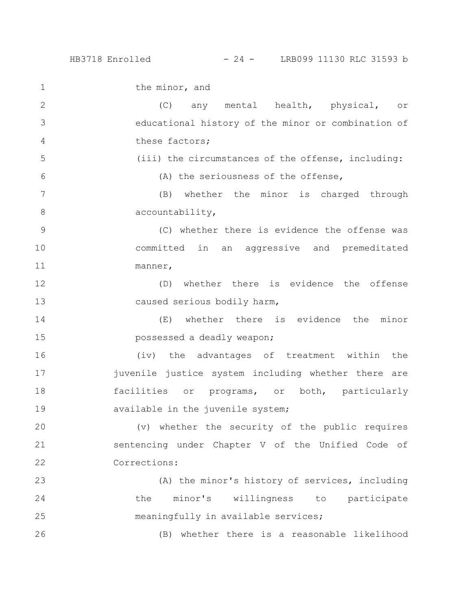the minor, and (C) any mental health, physical, or educational history of the minor or combination of these factors; (iii) the circumstances of the offense, including: (A) the seriousness of the offense, (B) whether the minor is charged through accountability, (C) whether there is evidence the offense was committed in an aggressive and premeditated manner, (D) whether there is evidence the offense caused serious bodily harm, (E) whether there is evidence the minor possessed a deadly weapon; (iv) the advantages of treatment within the juvenile justice system including whether there are facilities or programs, or both, particularly available in the juvenile system; (v) whether the security of the public requires sentencing under Chapter V of the Unified Code of Corrections: (A) the minor's history of services, including the minor's willingness to participate meaningfully in available services; 1 2 3 4 5 6 7 8 9 10 11 12 13 14 15 16 17 18 19 20 21 22 23 24 25

(B) whether there is a reasonable likelihood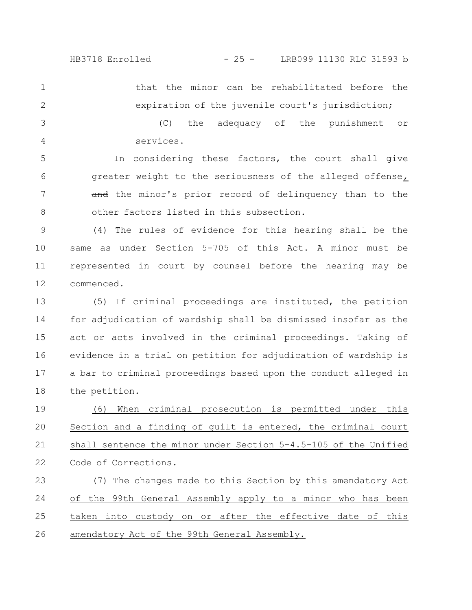that the minor can be rehabilitated before the expiration of the juvenile court's jurisdiction; 1 2

(C) the adequacy of the punishment or services. 3 4

In considering these factors, the court shall give greater weight to the seriousness of the alleged offense, and the minor's prior record of delinquency than to the other factors listed in this subsection. 5 6 7 8

(4) The rules of evidence for this hearing shall be the same as under Section 5-705 of this Act. A minor must be represented in court by counsel before the hearing may be commenced. 9 10 11 12

(5) If criminal proceedings are instituted, the petition for adjudication of wardship shall be dismissed insofar as the act or acts involved in the criminal proceedings. Taking of evidence in a trial on petition for adjudication of wardship is a bar to criminal proceedings based upon the conduct alleged in the petition. 13 14 15 16 17 18

(6) When criminal prosecution is permitted under this Section and a finding of guilt is entered, the criminal court shall sentence the minor under Section 5-4.5-105 of the Unified Code of Corrections. 19 20 21 22

(7) The changes made to this Section by this amendatory Act of the 99th General Assembly apply to a minor who has been taken into custody on or after the effective date of this amendatory Act of the 99th General Assembly. 23 24 25 26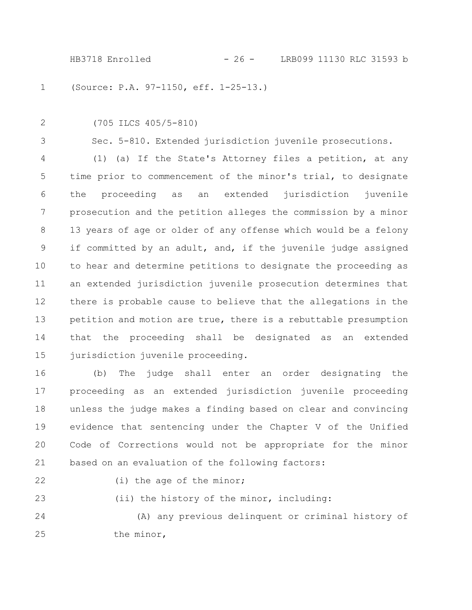(Source: P.A. 97-1150, eff. 1-25-13.) 1

2

(705 ILCS 405/5-810)

3

Sec. 5-810. Extended jurisdiction juvenile prosecutions.

(1) (a) If the State's Attorney files a petition, at any time prior to commencement of the minor's trial, to designate the proceeding as an extended jurisdiction juvenile prosecution and the petition alleges the commission by a minor 13 years of age or older of any offense which would be a felony if committed by an adult, and, if the juvenile judge assigned to hear and determine petitions to designate the proceeding as an extended jurisdiction juvenile prosecution determines that there is probable cause to believe that the allegations in the petition and motion are true, there is a rebuttable presumption that the proceeding shall be designated as an extended jurisdiction juvenile proceeding. 4 5 6 7 8 9 10 11 12 13 14 15

(b) The judge shall enter an order designating the proceeding as an extended jurisdiction juvenile proceeding unless the judge makes a finding based on clear and convincing evidence that sentencing under the Chapter V of the Unified Code of Corrections would not be appropriate for the minor based on an evaluation of the following factors: 16 17 18 19 20 21

22

23

(i) the age of the minor;

(ii) the history of the minor, including:

(A) any previous delinquent or criminal history of the minor, 24 25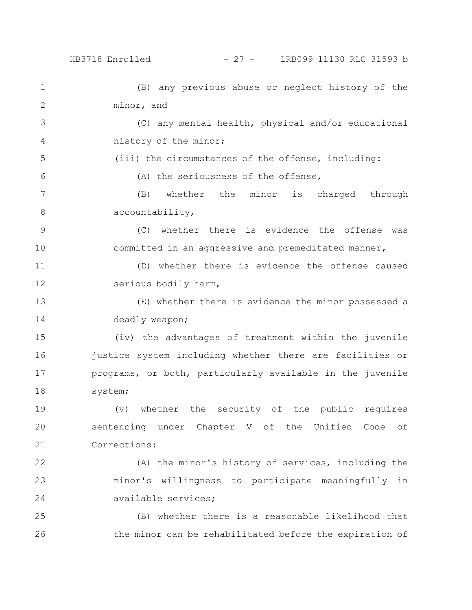(B) any previous abuse or neglect history of the minor, and (C) any mental health, physical and/or educational history of the minor; (iii) the circumstances of the offense, including: (A) the seriousness of the offense, (B) whether the minor is charged through accountability, (C) whether there is evidence the offense was committed in an aggressive and premeditated manner, (D) whether there is evidence the offense caused serious bodily harm, (E) whether there is evidence the minor possessed a deadly weapon; (iv) the advantages of treatment within the juvenile justice system including whether there are facilities or programs, or both, particularly available in the juvenile system; (v) whether the security of the public requires sentencing under Chapter V of the Unified Code of Corrections: (A) the minor's history of services, including the minor's willingness to participate meaningfully in available services; (B) whether there is a reasonable likelihood that 1 2 3 4 5 6 7 8 9 10 11 12 13 14 15 16 17 18 19 20 21 22 23 24 25

the minor can be rehabilitated before the expiration of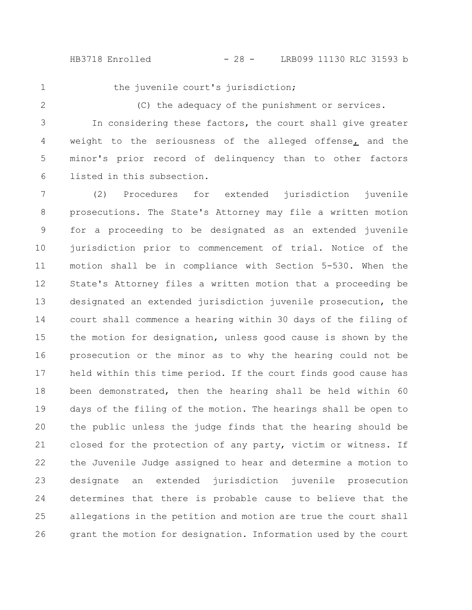the juvenile court's jurisdiction;

2

(C) the adequacy of the punishment or services.

In considering these factors, the court shall give greater weight to the seriousness of the alleged offense, and the minor's prior record of delinquency than to other factors listed in this subsection. 3 4 5 6

(2) Procedures for extended jurisdiction juvenile prosecutions. The State's Attorney may file a written motion for a proceeding to be designated as an extended juvenile jurisdiction prior to commencement of trial. Notice of the motion shall be in compliance with Section 5-530. When the State's Attorney files a written motion that a proceeding be designated an extended jurisdiction juvenile prosecution, the court shall commence a hearing within 30 days of the filing of the motion for designation, unless good cause is shown by the prosecution or the minor as to why the hearing could not be held within this time period. If the court finds good cause has been demonstrated, then the hearing shall be held within 60 days of the filing of the motion. The hearings shall be open to the public unless the judge finds that the hearing should be closed for the protection of any party, victim or witness. If the Juvenile Judge assigned to hear and determine a motion to designate an extended jurisdiction juvenile prosecution determines that there is probable cause to believe that the allegations in the petition and motion are true the court shall grant the motion for designation. Information used by the court 7 8 9 10 11 12 13 14 15 16 17 18 19 20 21 22 23 24 25 26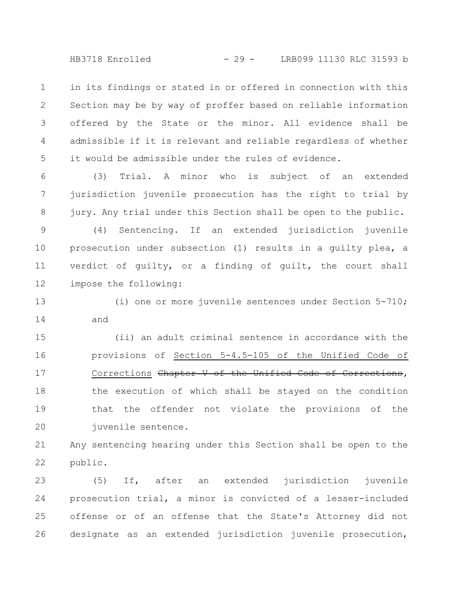HB3718 Enrolled - 29 - LRB099 11130 RLC 31593 b

in its findings or stated in or offered in connection with this Section may be by way of proffer based on reliable information offered by the State or the minor. All evidence shall be admissible if it is relevant and reliable regardless of whether it would be admissible under the rules of evidence. 1 2 3 4 5

(3) Trial. A minor who is subject of an extended jurisdiction juvenile prosecution has the right to trial by jury. Any trial under this Section shall be open to the public. 6 7 8

(4) Sentencing. If an extended jurisdiction juvenile prosecution under subsection (1) results in a guilty plea, a verdict of guilty, or a finding of guilt, the court shall impose the following: 9 10 11 12

(i) one or more juvenile sentences under Section 5-710; and 13 14

(ii) an adult criminal sentence in accordance with the provisions of Section 5-4.5-105 of the Unified Code of Corrections Chapter V of the Unified Code of Corrections, the execution of which shall be stayed on the condition that the offender not violate the provisions of the juvenile sentence. 15 16 17 18 19 20

Any sentencing hearing under this Section shall be open to the public. 21 22

(5) If, after an extended jurisdiction juvenile prosecution trial, a minor is convicted of a lesser-included offense or of an offense that the State's Attorney did not designate as an extended jurisdiction juvenile prosecution, 23 24 25 26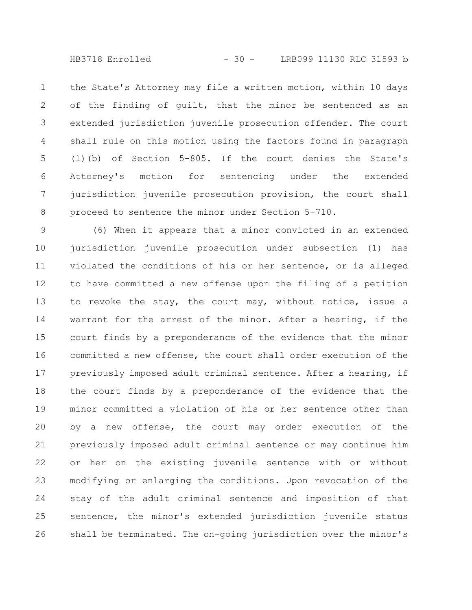HB3718 Enrolled - 30 - LRB099 11130 RLC 31593 b

the State's Attorney may file a written motion, within 10 days of the finding of guilt, that the minor be sentenced as an extended jurisdiction juvenile prosecution offender. The court shall rule on this motion using the factors found in paragraph (1)(b) of Section 5-805. If the court denies the State's Attorney's motion for sentencing under the extended jurisdiction juvenile prosecution provision, the court shall proceed to sentence the minor under Section 5-710. 1 2 3 4 5 6 7 8

(6) When it appears that a minor convicted in an extended jurisdiction juvenile prosecution under subsection (1) has violated the conditions of his or her sentence, or is alleged to have committed a new offense upon the filing of a petition to revoke the stay, the court may, without notice, issue a warrant for the arrest of the minor. After a hearing, if the court finds by a preponderance of the evidence that the minor committed a new offense, the court shall order execution of the previously imposed adult criminal sentence. After a hearing, if the court finds by a preponderance of the evidence that the minor committed a violation of his or her sentence other than by a new offense, the court may order execution of the previously imposed adult criminal sentence or may continue him or her on the existing juvenile sentence with or without modifying or enlarging the conditions. Upon revocation of the stay of the adult criminal sentence and imposition of that sentence, the minor's extended jurisdiction juvenile status shall be terminated. The on-going jurisdiction over the minor's 9 10 11 12 13 14 15 16 17 18 19 20 21 22 23 24 25 26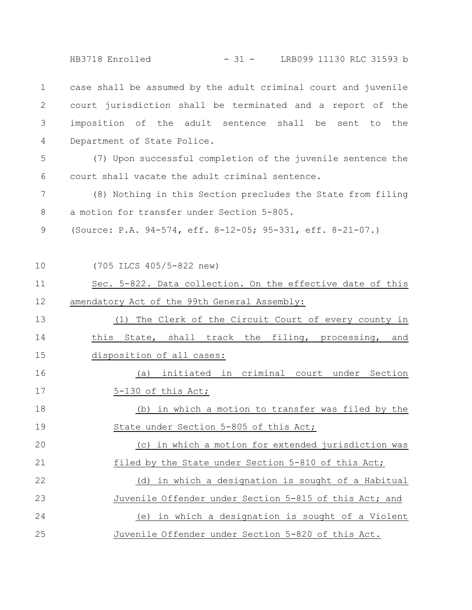HB3718 Enrolled - 31 - LRB099 11130 RLC 31593 b

case shall be assumed by the adult criminal court and juvenile court jurisdiction shall be terminated and a report of the imposition of the adult sentence shall be sent to the Department of State Police. 1 2 3 4

(7) Upon successful completion of the juvenile sentence the court shall vacate the adult criminal sentence. 5 6

(8) Nothing in this Section precludes the State from filing a motion for transfer under Section 5-805. 7 8

(Source: P.A. 94-574, eff. 8-12-05; 95-331, eff. 8-21-07.) 9

10

(705 ILCS 405/5-822 new)

Sec. 5-822. Data collection. On the effective date of this amendatory Act of the 99th General Assembly: 11 12

(1) The Clerk of the Circuit Court of every county in this State, shall track the filing, processing, and disposition of all cases: 13 14 15

(a) initiated in criminal court under Section 5-130 of this Act; 16 17

(b) in which a motion to transfer was filed by the State under Section 5-805 of this Act; (c) in which a motion for extended jurisdiction was filed by the State under Section 5-810 of this Act; (d) in which a designation is sought of a Habitual Juvenile Offender under Section 5-815 of this Act; and (e) in which a designation is sought of a Violent Juvenile Offender under Section 5-820 of this Act. 18 19 20 21 22 23 24 25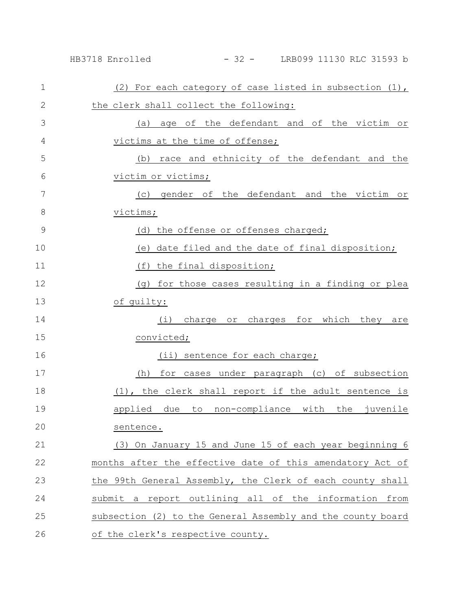| $\mathbf{1}$  | (2) For each category of case listed in subsection (1),     |
|---------------|-------------------------------------------------------------|
| $\mathbf{2}$  | the clerk shall collect the following:                      |
| 3             | age of the defendant and of the victim or<br>(a)            |
| 4             | victims at the time of offense;                             |
| 5             | race and ethnicity of the defendant and the<br>(b)          |
| 6             | victim or victims;                                          |
| 7             | gender of the defendant and the victim or<br>(C)            |
| 8             | victims;                                                    |
| $\mathcal{G}$ | (d) the offense or offenses charged;                        |
| 10            | date filed and the date of final disposition;<br>(e)        |
| 11            | (f)<br>the final disposition;                               |
| 12            | for those cases resulting in a finding or plea<br>(q)       |
| 13            | of guilty:                                                  |
| 14            | charge or charges for which they<br>(i)<br>are              |
| 15            | convicted;                                                  |
| 16            | (ii) sentence for each charge;                              |
| 17            | for cases under paragraph (c) of subsection<br>(h)          |
| 18            | (1), the clerk shall report if the adult sentence is        |
| 19            | due to non-compliance with the juvenile<br>applied          |
| 20            | sentence.                                                   |
| 21            | (3) On January 15 and June 15 of each year beginning 6      |
| 22            | months after the effective date of this amendatory Act of   |
| 23            | the 99th General Assembly, the Clerk of each county shall   |
| 24            | submit a report outlining all of the information from       |
| 25            | subsection (2) to the General Assembly and the county board |
| 26            | of the clerk's respective county.                           |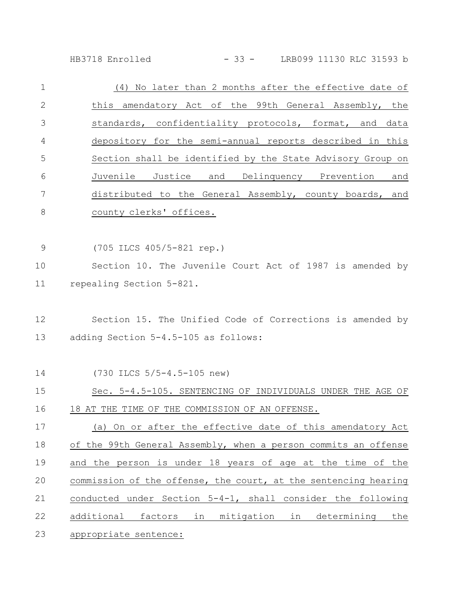HB3718 Enrolled - 33 - LRB099 11130 RLC 31593 b

| $\mathbf 1$    | (4) No later than 2 months after the effective date of          |
|----------------|-----------------------------------------------------------------|
| $\mathbf{2}$   | this amendatory Act of the 99th General Assembly, the           |
| 3              | standards, confidentiality protocols, format, and data          |
| 4              | depository for the semi-annual reports described in this        |
| 5              | Section shall be identified by the State Advisory Group on      |
| 6              | Juvenile Justice and Delinquency Prevention and                 |
| 7              | distributed to the General Assembly, county boards, and         |
| 8              | county clerks' offices.                                         |
| $\overline{9}$ | (705 ILCS 405/5-821 rep.)                                       |
| 10             | Section 10. The Juvenile Court Act of 1987 is amended by        |
| 11             | repealing Section 5-821.                                        |
| 12             | Section 15. The Unified Code of Corrections is amended by       |
| 13             | adding Section 5-4.5-105 as follows:                            |
| 14             | (730 ILCS 5/5-4.5-105 new)                                      |
| 15             | Sec. 5-4.5-105. SENTENCING OF INDIVIDUALS UNDER THE AGE OF      |
| 16             | 18 AT THE TIME OF THE COMMISSION OF AN OFFENSE.                 |
| 17             | (a) On or after the effective date of this amendatory Act       |
| 18             | of the 99th General Assembly, when a person commits an offense  |
| 19             | and the person is under 18 years of age at the time of the      |
| 20             | commission of the offense, the court, at the sentencing hearing |
| 21             | conducted under Section 5-4-1, shall consider the following     |
| 22             | additional factors in mitigation in determining<br>the          |
| 23             | appropriate sentence:                                           |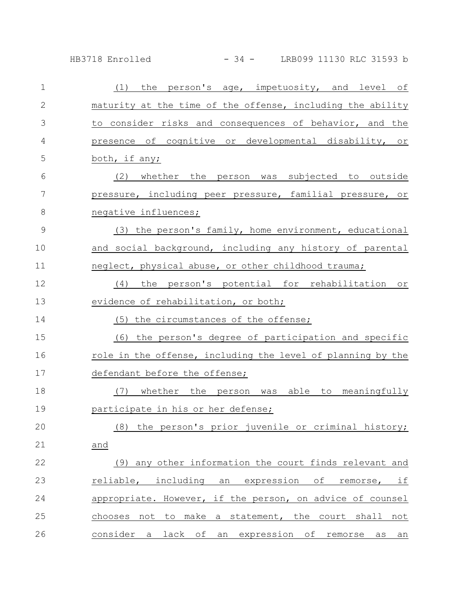HB3718 Enrolled - 34 - LRB099 11130 RLC 31593 b

| $\mathbf{1}$  | (1) the person's age, impetuosity, and level of             |
|---------------|-------------------------------------------------------------|
| $\mathbf{2}$  | maturity at the time of the offense, including the ability  |
| 3             | to consider risks and consequences of behavior, and the     |
| 4             | presence of cognitive or developmental disability, or       |
| 5             | both, if any;                                               |
| 6             | (2) whether the person was subjected to outside             |
| 7             | pressure, including peer pressure, familial pressure, or    |
| 8             | negative influences;                                        |
| $\mathcal{G}$ | (3) the person's family, home environment, educational      |
| 10            | and social background, including any history of parental    |
| 11            | neglect, physical abuse, or other childhood trauma;         |
| 12            | (4) the person's potential for rehabilitation or            |
| 13            | evidence of rehabilitation, or both;                        |
| 14            | (5) the circumstances of the offense;                       |
| 15            | (6) the person's degree of participation and specific       |
| 16            | role in the offense, including the level of planning by the |
| 17            | defendant before the offense;                               |
| 18            | (7) whether the person was able to meaningfully             |
| 19            | participate in his or her defense;                          |
| 20            | (8) the person's prior juvenile or criminal history;        |
| 21            | and                                                         |
| 22            | (9) any other information the court finds relevant and      |
| 23            | reliable, including an expression of remorse, if            |
| 24            | appropriate. However, if the person, on advice of counsel   |
| 25            | chooses not to make a statement, the court shall not        |
| 26            | consider a lack of an expression of remorse as an           |